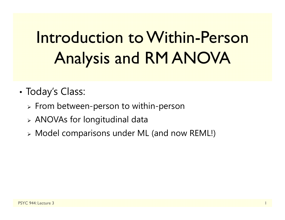# Introduction to Within-Person Analysis and RM ANOVA

- • Today's Class:
	- $\triangleright$  From between-person to within-person
	- ANOVAs for longitudinal data
	- Model comparisons under ML (and now REML!)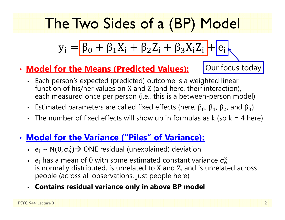## The Two Sides of a (BP) Model

$$
y_i = \boxed{\beta_0 + \beta_1 X_i + \beta_2 Z_i + \beta_3 X_i Z_i} + \boxed{e_i}
$$

•**Model for the Means (Predicted Values):** Our focus today

- Each person's expected (predicted) outcome is a weighted linear function of his/her values on X and Z (and here, their interaction), each measured once per person (i.e., this is a between-person model)
- Estimated parameters are called fixed effects (here,  $β_0$ ,  $β_1$ ,  $β_2$ , and  $β_3$ )
- The number of fixed effects will show up in formulas as  $k$  (so  $k = 4$  here)

#### •**Model for the Variance ("Piles" of Variance):**

- $e_i \sim N(0, \sigma_e^2)$  $_{\rm e}^{2})$  $\rightarrow$  ONE residual (unexplained) deviation
- e<sub>i</sub> has a mean of 0 with some estimated constant variance  $\sigma_{\rm e}^2$  is normally distributed, is unrelated to X and Z, and is unrelated across 2<br>e/ people (across all observations, just people here)
- **Contains residual variance only in above BP model**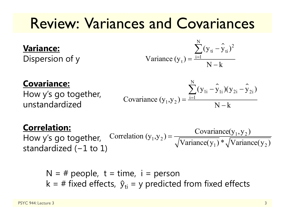### Review: Variances and Covariances

#### **Variance:**

Dispersion of y

Variance 
$$
(y_t) = \frac{\sum_{i=1}^{N} (y_{ti} - \hat{y}_{ti})^2}{N - k}
$$

#### **Covariance:**

How y's go together, unstandardized

Covariance 
$$
(y_1, y_2) = \frac{\sum_{i=1}^{N} (y_{1i} - \hat{y}_{1i})(y_{2i} - \hat{y}_{2i})}{N - k}
$$

#### **Correlation:**

How y's go together, standardized ( <sup>−</sup>1 to 1)  $_1$ ,  $y_2$ ) =  $\frac{\text{covariance}(y_1, y_2)}{\sqrt{x_1 + \cdots + x_n}}$  $\text{Correlation } (y_1, y_2) = \frac{\text{Covariance}(y_1, y_2)}{\sqrt{\text{Variance}(y_1)} * \sqrt{\text{Variance}(y_2)}}$ ═

N = # people, t = time, i = person  
k = # fixed effects, 
$$
\hat{y}_{ti}
$$
 = y predicted from fixed effects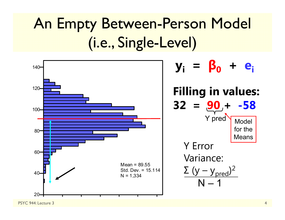## An Empty Between-Person Model (i.e., Single-Level)



PSYC 944: Lecture 3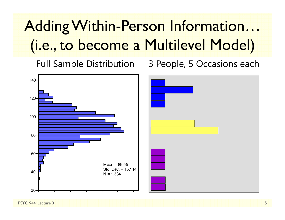## Adding Within-Person Information… (i.e., to become a Multilevel Model)

Full Sample Distribution 3 People, 5 Occasions each



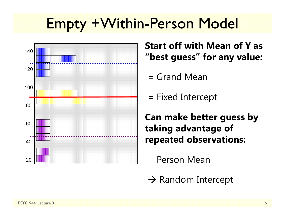### Empty +Within-Person Model



**Start off with Mean of Y as "best guess" for any value:**

- = Grand Mean
- = Fixed Intercept

**Can make better guess by taking advantage of repeated observations:**

- = Person Mean
- $\rightarrow$  Random Intercept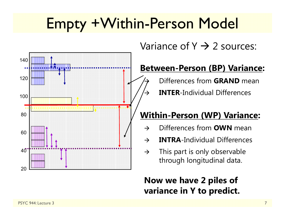### Empty +Within-Person Model

 $\rightarrow$ 

 $\rightarrow$ 



Variance of Y  $\rightarrow$  2 sources:

#### **Between-Person (BP) Variance:**

Differences from **GRAND** mean

**INTER**-Individual Differences

#### **Within-Person (WP) Variance:**

- $\rightarrow$ Differences from **OWN** mean
- $\rightarrow$ **INTRA**-Individual Differences
- $\rightarrow$  This part is only observable through longitudinal data.

#### **Now we have 2 piles of variance in Y to predict.**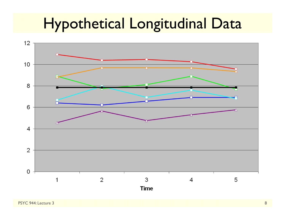### Hypothetical Longitudinal Data

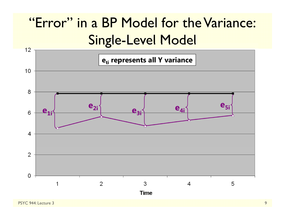#### "Error" in a BP Model for the Variance: Single-Level Model

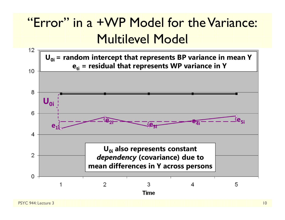#### "Error" in a +WP Model for the Variance: Multilevel Model

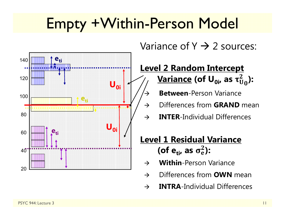### Empty +Within-Person Model

 $\rightarrow$ 



Variance of Y  $\rightarrow$  2 sources:

#### **Level 2 Random Intercept <u>Variance</u> (of U<sub>0i</sub>, as τ** $_0^2$ **):**

- **Between**-Person Variance
- $\rightarrow$ Differences from **GRAND** mean
- $\rightarrow$ **INTER**-Individual Differences

#### **Level 1 Residual Variance** (of e<sub>ti</sub>, as  $\sigma_{\rm e}^2$ ):

- $\rightarrow$ **Within**-Person Variance
- $\rightarrow$ Differences from **OWN** mean
- $\rightarrow$ **INTRA**-Individual Differences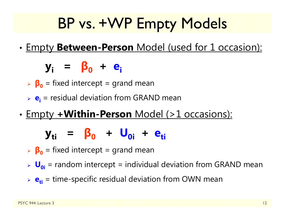## BP vs. +WP Empty Models

•Empty **Between-Person** Model (used for 1 occasion):

**yi <sup>=</sup> β 0 <sup>+</sup> ei**

- **β 0** = fixed intercept = grand mean
- **e**<sub>i</sub> = residual deviation from GRAND mean
- •Empty **+Within-Person** Model (>1 occasions):

#### **y**<sub>ti</sub> = β<sub>0</sub> + U<sub>0i</sub> + e<sub>ti</sub>

- **β 0** = fixed intercept = grand mean
- **U**<sub>oi</sub> = random intercept = individual deviation from GRAND mean
- **e**<sub>ti</sub> = time-specific residual deviation from OWN mean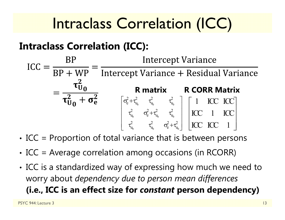### Intraclass Correlation (ICC)

#### **Intraclass Correlation (ICC):**

$$
ICC = \frac{BP}{BP + WP} = \frac{Intercept Variance}{Intercept Variance + Residual Variance}
$$

$$
= \frac{\tau_{U_0}^2}{\tau_{U_0}^2 + \sigma_e^2} \qquad \begin{array}{ccc} R \text{ matrix} & R \text{ CORR Matrix} \\ \left[\sigma_{e}^2 + \tau_{u_0}^2 & \tau_{u_0}^2 & \tau_{u_0}^2 \\ \tau_{u_0}^2 & \sigma_{e}^2 + \tau_{u_0}^2 & \tau_{u_0}^2 \\ \tau_{u_0}^2 & \tau_{u_0}^2 & \tau_{u_0}^2 \end{array}\right] \begin{bmatrix} 1 & ICC & ICC \\ ICC & IDC \\ ICC & IDC \\ ICC & IDC \end{bmatrix}
$$

0  $\mathfrak{u}_0$  c  $\mathfrak{u}_0$ 

- •• ICC = Proportion of total variance that is between persons
- •• ICC = Average correlation among occasions (in RCORR)
- • ICC is a standardized way of expressing how much we need to worry about *dependency due to person mean differences* **(i.e., ICC is an effect size for** *constant* **person dependency)**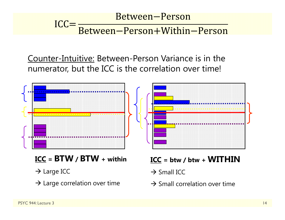#### Between-Person  $ICC =$ Between-Person+Within-Person

Counter-Intuitive: Between-Person Variance is in the numerator, but the ICC is the correlation over time!



- **ICC = BTW / BTW + within**
- $\rightarrow$  Large ICC
- $\rightarrow$  Large correlation over time

**ICC = btw / btw + WITHIN**

- $\rightarrow$  Small ICC
- $\rightarrow$  Small correlation over time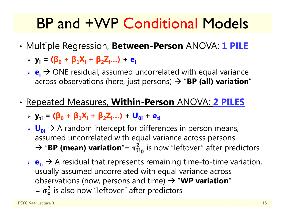### BP and +WP Conditional Models

- • Multiple Regression, **Between-Person** ANOVA: **1 PILE**
	- **yi = (β<sup>0</sup> <sup>+</sup>β1Xi <sup>+</sup>β2Zi…) + ei**
	- **► e<sub>i</sub>** → ONE residual, assumed uncorrelated with equal variance across observations (here, just persons)  $\rightarrow$  "**BP (all) variation**"
- • Repeated Measures, **Within-Person** ANOVA: **2 PILES**
	- **yti = (β<sup>0</sup> <sup>+</sup>β1Xi <sup>+</sup>β2Zi…) + U0i + eti**
	- **► U<sub>0i</sub>** → A random intercept for differences in person means, assumed uncorrelated with equal variance across persons  $\rightarrow$  "**BP (mean) variation**"=  $\tau_{U_0}^2$  is now "leftover" after predictors
	- $\triangleright$   $\mathbf{e}_{\mathbf{t}} \rightarrow$  A residual that represents remaining time-to-time variation, usually assumed uncorrelated with equal variance across observations (now, persons and time)  $\rightarrow$  "WP variation"  $=$   $\sigma_e^2$  is also now "leftover" after predictors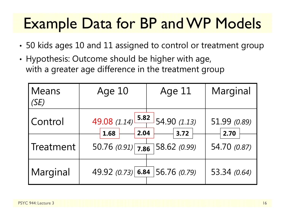### Example Data for BP and WP Models

- •50 kids ages 10 and 11 assigned to control or treatment group
- • Hypothesis: Outcome should be higher with age, with a greater age difference in the treatment group

| <b>Means</b><br>(SE) | Age 10                                             | Age 11 | Marginal             |
|----------------------|----------------------------------------------------|--------|----------------------|
| Control              | 49.08 $(1.14)$ 5.82 54.90 $(1.13)$<br>2.04<br>1.68 | 3.72   | 51.99 (0.89)<br>2.70 |
| Treatment            | 50.76 $(0.91)$ 7.86 58.62 $(0.99)$                 |        | 54.70 (0.87)         |
| Marginal             | 49.92 $(0.73)$ 6.84 56.76 $(0.79)$                 |        | 53.34 (0.64)         |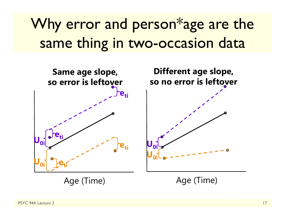## Why error and person\*age are the same thing in two-occasion data



Age (Time)

Age (Time)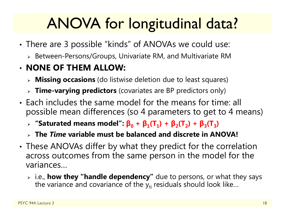## ANOVA for longitudinal data?

- • There are 3 possible "kinds" of ANOVAs we could use:
	- $\triangleright$  Between-Persons/Groups, Univariate RM, and Multivariate RM

#### • **NONE OF THEM ALLOW:**

- **Missing occasions** (do listwise deletion due to least squares)
- **Time-varying predictors** (covariates are BP predictors only)
- Each includes the same model for the means for time: all possible mean differences (so 4 parameters to get to 4 means)
	- $\triangleright$  "Saturated means model":  $\beta_0 + \beta_1(T_1) + \beta_2(T_2) + \beta_3(T_3)$
	- **The** *Time* **variable must be balanced and discrete in ANOVA!**
- • These ANOVAs differ by what they predict for the correlation across outcomes from the same person in the model for the variances…
	- i.e., **how they "handle dependency"** due to persons, or what they says the variance and covariance of the  $\mathsf{y}_{\mathsf{t}\mathsf{i}}$  residuals should look like…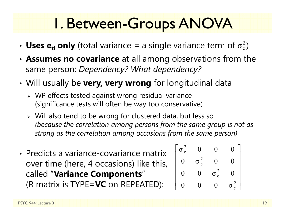### 1. Between-Groups ANOVA

- Uses  $e_{ti}$  only (total variance = a single variance term of  $\sigma_e^2$  $\overline{2}$ )
- • **Assumes no covariance** at all among observations from the same person: *Dependency? What dependency?*
- • Will usually be **very, very wrong** for longitudinal data
	- WP effects tested against wrong residual variance (significance tests will often be way too conservative)
	- Will also tend to be wrong for clustered data, but less so *(because the correlation among persons from the same group is not as strong as the correlation among occasions from the same person)*
- Predicts a variance-covariance matrixover time (here, 4 occasions) like this, called "**Variance Components**" (R matrix is TYPE=**VC** on REPEATED):

$$
\begin{bmatrix} \sigma_e^2 & 0 & 0 & 0 \\ 0 & \sigma_e^2 & 0 & 0 \\ 0 & 0 & \sigma_e^2 & 0 \\ 0 & 0 & 0 & \sigma_e^2 \end{bmatrix}
$$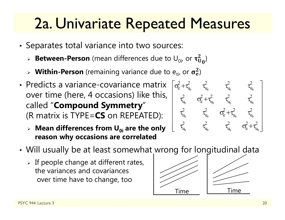### 2a. Univariate Repeated Measures

- •• Separates total variance into two sources:
	- $\triangleright$  **Between-Person** (mean differences due to  $\mathsf{U}_{0i}$ , or  $\boldsymbol{\tau}_\mathbf{U}^2$  $^{2}_{\rm U_0}$ )
	- $\triangleright$  Within-Person (remaining variance due to  $e_{ti}$ , or  $\sigma_e^2$ )
- Predicts a variance-covariance matrix over time (here, 4 occasions) like this, called "**Compound Symmetry**" (R matrix is TYPE=**CS** on REPEATED):
	- **Mean differences from U0i are the only reason why occasions are correlated**



- • Will usually be at least somewhat wrong for longitudinal data
	- $\triangleright$  If people change at different rates, the variances and covariancesover time have to change, too



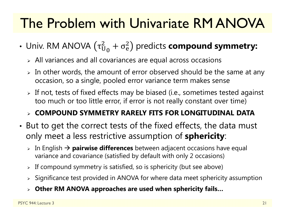### The Problem with Univariate RM ANOVA

- Univ. RM ANOVA  $(\tau^2_{\mathrm{U}}$  $^2_{\mathrm{U}_0} + \sigma^2_{\mathrm{e}}$  $^{2}_{\text{e}}$ ) predicts **compound symmetry:** 
	- $\triangleright$  All variances and all covariances are equal across occasions
	- $\triangleright$  In other words, the amount of error observed should be the same at any occasion, so a single, pooled error variance term makes sense
	- $\triangleright$  If not, tests of fixed effects may be biased (i.e., sometimes tested against too much or too little error, if error is not really constant over time)

#### **COMPOUND SYMMETRY RARELY FITS FOR LONGITUDINAL DATA**

- • But to get the correct tests of the fixed effects, the data must only meet a less restrictive assumption of **sphericity**:
	- **⊳** In English → **pairwise differences** between adjacent occasions have equal variance and covariance (satisfied by default with only 2 occasions)
	- $\triangleright$  If compound symmetry is satisfied, so is sphericity (but see above)
	- $\triangleright$  Significance test provided in ANOVA for where data meet sphericity assumption
	- **Other RM ANOVA approaches are used when sphericity fails…**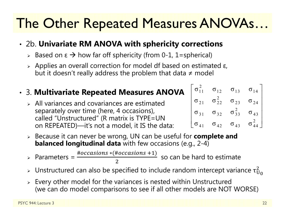### The Other Repeated Measures ANOVAs…

#### • 2b. **Univariate RM ANOVA with sphericity corrections**

- > Based on ε  $\rightarrow$  how far off sphericity (from 0-1, 1=spherical)
- $\triangleright$  Applies an overall correction for model df based on estimated ε, but it doesn't really address the problem that data ≠ model

#### • 3. **Multivariate Repeated Measures ANOVA**

- $\triangleright$  All variances and covariances are estimated separately over time (here, 4 occasions), called "Unstructured" (R matrix is TYPE=UN on REPEATED)—it's not a model, it IS the data:
- Because it can never be wrong, UN can be useful for **complete and**   $\sigma_{\texttt{41}}$   $\sigma_{\texttt{42}}$   $\sigma_{\texttt{43}}$   $\sigma_{\texttt{44}}$  $\begin{bmatrix} \sigma_{11}^2 & \sigma_{12} & \sigma_{13} & \sigma_{14} \\ \sigma_{21} & \sigma_{22}^2 & \sigma_{23} & \sigma_{24} \\ \sigma_{31} & \sigma_{32} & \sigma_{33}^2 & \sigma_{43} \\ \sigma_{41} & \sigma_{42} & \sigma_{43} & \sigma_{44}^2 \end{bmatrix}$ 
	- **balanced longitudinal data** with few occasions (e.g., 2-4)

> Parameters =  $\frac{\#occasions * (\#occasions + 1)}{1}$  so can be hard to estimate 2

- $\triangleright$  Unstructured can also be specified to include random intercept variance  $\tau_U^2$ 2<br>U 0
- $\triangleright$  Every other model for the variances is nested within Unstructured (we can do model comparisons to see if all other models are NOT WORSE)

2

 $\sigma^{\,2}_{\,44}$   $\,$ 

 $\sigma_{14}$ 

 $\sigma_{24}$ 

 $\sigma_{43}$ 

 $\begin{bmatrix} \sigma_{11}^2 & \sigma_{12} & \sigma_{13} & \sigma_{14} \end{bmatrix}$ 

 $\sigma_{21}$   $\sigma_{22}^2$   $\sigma_{23}$   $\sigma_{24}$ 

 $\sigma_{31}$   $\sigma_{32}$   $\sigma_{33}^2$   $\sigma_{43}$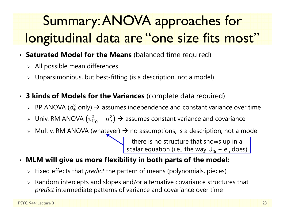### Summary: ANOVA approaches for longitudinal data are "one size fits most"

- **Saturated Model for the Means** (balanced time required)
	- $\triangleright$  All possible mean differences
	- $\triangleright$  Unparsimonious, but best-fitting (is a description, not a model)
- • **3 kinds of Models for the Variances** (complete data required)
	- $\triangleright$  BP ANOVA ( $\sigma_{\rm e}^2$  $_{{\rm e}}^2$  only)  $\bm{\rightarrow}$  assumes independence and constant variance over time
	- » Univ. RM ANOVA (τ $_\mathrm{U}^2$  $_{\rm U_0}^2 + \sigma_{\rm e}^2$  $_0^2$ )  $\rightarrow$  assumes constant variance and covariance
	- $\triangleright$  Multiv. RM ANOVA (what<u>e</u>ver)  $\rightarrow$  no assumptions; is a description, not a model

there is no structure that shows up in a scalar equation (i.e., the way  $\sf{U}_{0i}$  +  $\sf{e}_{\sf{t}}$  does)  $\sf$ 

- $\bullet$  **MLM will give us more flexibility in both parts of the model:**
	- Fixed effects that *predict* the pattern of means (polynomials, pieces)
	- $\triangleright$  Random intercepts and slopes and/or alternative covariance structures that *predict* intermediate patterns of variance and covariance over time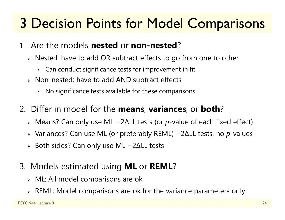### 3 Decision Points for Model Comparisons

- 1. Are the models **nested** or **non-nested** ?
	- $\triangleright$  Nested: have to add OR subtract effects to go from one to other
		- Can conduct significance tests for improvement in fit
	- Non-nested: have to add AND subtract effects
		- No significance tests available for these comparisons
- 2. Differ in model for the **means**, **variances**, or **both** ?
	- Means? Can only use ML − 2 ∆LL tests (or *p*-value of each fixed effect)
	- Variances? Can use ML (or preferably REML) − 2 ∆LL tests, no *p*-values
	- $\triangleright$  Both sides? Can only use ML − 2 ∆LL tests
- 3. Models estimated using **ML** or **REML** ?
	- $\triangleright$  ML: All model comparisons are ok
	- $\triangleright$  REML: Model comparisons are ok for the variance parameters only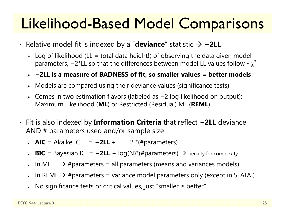### Likelihood-Based Model Comparisons

- Relative model fit is indexed by a "**deviance**" statistic **−2LL**
	- $\triangleright$  Log of likelihood (LL = total data height!) of observing the data given model parameters, −2\*LL so that the differences between model LL values follow  $\mathord{\sim}\chi^2$

#### **<sup>−</sup>2LL is a measure of BADNESS of fit, so smaller values = better models**

- $\triangleright$  Models are compared using their deviance values (significance tests)
- Comes in two estimation flavors (labeled as <sup>−</sup>2 log likelihood on output): Maximum Likelihood (**ML**) or Restricted (Residual) ML (**REML**)
- Fit is also indexed by **Information Criteria** that reflect **−2LL** deviance AND # parameters used and/or sample size
	- > AIC = Akaike IC = −2LL + 2 \*(#parameters)
	- > BIC = Bayesian IC = -2LL + log(N)\*(#parameters) → penalty for complexity
	- $\triangleright$  In ML  $\;\;\rightarrow$  #parameters = all parameters (means and variances models)
	- $\triangleright$  In REML  $\rightarrow$  #parameters = variance model parameters only (except in STATA!)
	- $\triangleright$   $\,$  No significance tests or critical values, just "smaller is better"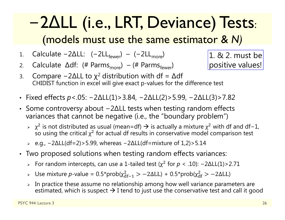### <sup>−</sup>2∆LL (i.e., LRT, Deviance) Tests: (models must use the same estimator & *N)*

- 1.Calculate −2 $\Delta$ LL: (−2LL<sub>fewer</sub>) − (−2LL<sub>more</sub>)
- 2.Calculate  $\Delta df$ : (# Parms<sub>more</sub>) – (# Parms<sub>fewer</sub>)
- 3.Compare −2∆LL to  $\chi^2$  distribution with df =  $\Delta$ df CHIDIST function in excel will give exact p-values for the difference test
- Fixed effects *p*<.05: −2∆LL(1)>3.84, −2∆LL(2)>5.99, −2∆LL(3)>7.82
- Some controversy about −2∆LL tests when testing random effects variances that cannot be negative (i.e., the "boundary problem")
	- $\rightarrow$   $\chi^2$  is not distributed as usual (mean=df)  $\rightarrow$  is actually a mixture  $\chi^2$  with df and df−1, so using the critical  $\chi^2$  for actual df results in conservative model comparison test
	- e.g., −2∆LL(df=2)>5.99, whereas −2∆LL(df=mixture of 1,2)>5.14
- Two proposed solutions when testing random effects variances:
	- For random intercepts, can use a 1-tailed test (χ<sup>ଶ</sup> for *<sup>p</sup>* < .10): −2∆LL(1)>2.71
	- $\triangleright$  Use mixture *p*-value = 0.5\*prob(χ $^2_{\rm df-1}$  > −2ΔLL) + 0.5\*prob(χ $^2_{\rm df}$  > −2ΔLL)
	- $\blacktriangleright$  In practice these assume no relationship among how well variance parameters are estimated, which is suspect  $\rightarrow$  I tend to just use the conservative test and call it good

1. & 2. must be positive values!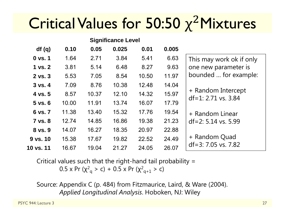## Critical Values for 50:50 x<sup>2</sup>Mixtures

| <b>Significance Level</b> |       |       |       |       |       |                                             |
|---------------------------|-------|-------|-------|-------|-------|---------------------------------------------|
| df(q)                     | 0.10  | 0.05  | 0.025 | 0.01  | 0.005 |                                             |
| $0$ vs. $1$               | 1.64  | 2.71  | 3.84  | 5.41  | 6.63  | This may work ok if only                    |
| 1 vs. 2                   | 3.81  | 5.14  | 6.48  | 8.27  | 9.63  | one new parameter is                        |
| $2$ vs. $3$               | 5.53  | 7.05  | 8.54  | 10.50 | 11.97 | bounded  for example:                       |
| $3$ vs. $4$               | 7.09  | 8.76  | 10.38 | 12.48 | 14.04 |                                             |
| 4 vs. 5                   | 8.57  | 10.37 | 12.10 | 14.32 | 15.97 | + Random Intercept<br>$df=1: 2.71$ vs. 3.84 |
| $5$ vs. $6$               | 10.00 | 11.91 | 13.74 | 16.07 | 17.79 |                                             |
| 6 vs. 7                   | 11.38 | 13.40 | 15.32 | 17.76 | 19.54 | + Random Linear                             |
| 7 vs. 8                   | 12.74 | 14.85 | 16.86 | 19.38 | 21.23 | $df=2: 5.14$ vs. 5.99                       |
| 8 vs. 9                   | 14.07 | 16.27 | 18.35 | 20.97 | 22.88 |                                             |
| 9 vs. 10                  | 15.38 | 17.67 | 19.82 | 22.52 | 24.49 | + Random Quad                               |
| 10 vs. 11                 | 16.67 | 19.04 | 21.27 | 24.05 | 26.07 | $df=3: 7.05$ vs. 7.82                       |

Critical values such that the right-hand tail probability = 0.5 x Pr (χ $^2$ <sub>q</sub> > c) + 0.5 x Pr (χ $^2$ <sub>q+1</sub> > c)

Source: Appendix C (p. 484) from Fitzmaurice, Laird, & Ware (2004). *Applied Longitudinal Analysis*. Hoboken, NJ: Wiley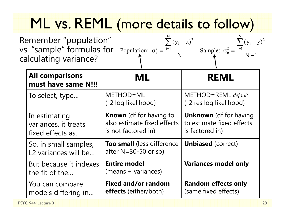## ML vs. REML (more details to follow)

| Remember "population"<br>vs. "sample" formulas for Population: $\sigma_e^2 = \frac{i=1}{N}$ | $\sum (y_i - \mu)^2$ | $\sum (y_i - \overline{y})^2$          |
|---------------------------------------------------------------------------------------------|----------------------|----------------------------------------|
| calculating variance?                                                                       |                      | Sample: $\sigma_e^2 = \frac{i=1}{N-1}$ |

| <b>All comparisons</b><br>must have same N!!!             | ML                                                                                   | <b>REML</b>                                                                   |
|-----------------------------------------------------------|--------------------------------------------------------------------------------------|-------------------------------------------------------------------------------|
| To select, type                                           | METHOD=ML<br>(-2 log likelihood)                                                     | METHOD=REML default<br>(-2 res log likelihood)                                |
| In estimating<br>variances, it treats<br>fixed effects as | <b>Known</b> (df for having to<br>also estimate fixed effects<br>is not factored in) | <b>Unknown</b> (df for having<br>to estimate fixed effects<br>is factored in) |
| So, in small samples,<br>L2 variances will be             | <b>Too small</b> (less difference<br>after $N = 30 - 50$ or so)                      | <b>Unbiased</b> (correct)                                                     |
| But because it indexes<br>the fit of the                  | <b>Entire model</b><br>(means + variances)                                           | <b>Variances model only</b>                                                   |
| You can compare<br>models differing in                    | <b>Fixed and/or random</b><br><b>effects</b> (either/both)                           | <b>Random effects only</b><br>(same fixed effects)                            |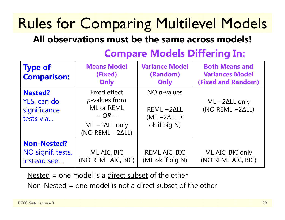## Rules for Comparing Multilevel Models

#### **All observations must be the same across models!**

| <b>Type of</b><br><b>Comparison:</b>                       | <b>Means Model</b><br>(Fixed)<br>Only                                                                                 | <b>Variance Model</b><br>(Random)<br>Only                             | <b>Both Means and</b><br><b>Variances Model</b><br><b>(Fixed and Random)</b> |
|------------------------------------------------------------|-----------------------------------------------------------------------------------------------------------------------|-----------------------------------------------------------------------|------------------------------------------------------------------------------|
| <b>Nested?</b><br>YES, can do<br>significance<br>tests via | Fixed effect<br><i>p</i> -values from<br>ML or REML<br>$-$ OR $-$<br>$ML -2\Delta LL$ only<br>(NO REML $-2\Delta L$ ) | NO $p$ -values<br>$REML -2ALL$<br>$(ML - 2\Delta LL)$<br>ok if big N) | $ML - 2\Delta LL$ only<br>(NO REML $-2\Delta L$ )                            |
| <b>Non-Nested?</b><br>NO signif. tests,<br>instead see     | ML AIC, BIC<br>(NO REML AIC, BIC)                                                                                     | REML AIC, BIC<br>(ML ok if big N)                                     | ML AIC, BIC only<br>(NO REML AIC, BIC)                                       |

#### **Compare Models Differing In:**

Nested = one model is a direct subset of the other

 $Non-Nested = one model is not a direct subset of the other$